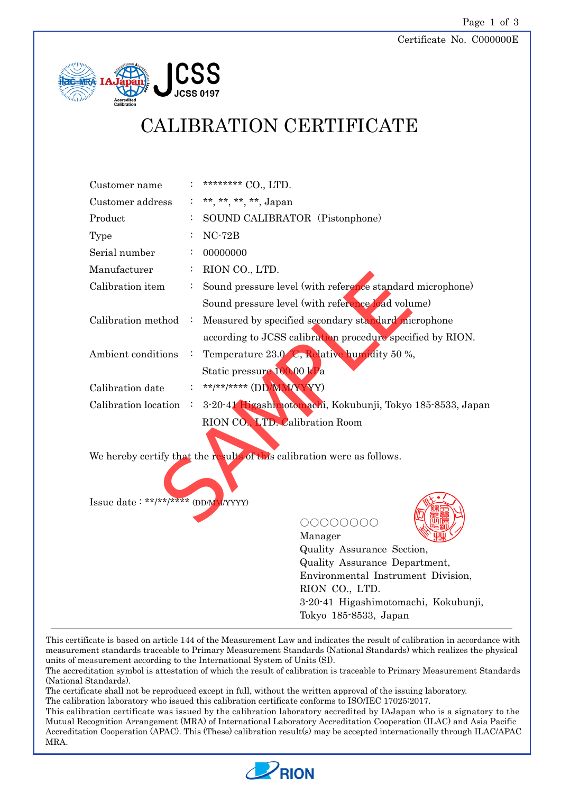#### Certificate No. C000000E



# CALIBRATION CERTIFICATE

| Customer name                       |                                                            | ******** CO., LTD.                                                                |
|-------------------------------------|------------------------------------------------------------|-----------------------------------------------------------------------------------|
| Customer address                    |                                                            | **, **, **, **, Japan                                                             |
| Product                             |                                                            | SOUND CALIBRATOR (Pistonphone)                                                    |
| Type                                |                                                            | $NC-72B$                                                                          |
| Serial number                       |                                                            | 00000000                                                                          |
| Manufacturer                        |                                                            | RION CO., LTD.                                                                    |
| Calibration item                    |                                                            | Sound pressure level (with reference standard microphone)                         |
|                                     |                                                            | Sound pressure level (with reference load volume)                                 |
| Calibration method                  | Measured by specified secondary standard microphone<br>- 1 |                                                                                   |
|                                     |                                                            | according to JCSS calibration procedure specified by RION.                        |
| Ambient conditions                  | $\sim$ 100                                                 | Temperature 23.0 C, Relative humidity 50 %,                                       |
|                                     |                                                            | Static pressure 100.00 kPa                                                        |
| Calibration date                    |                                                            | **/**/***** (DD/MMAXYY)                                                           |
|                                     |                                                            | Calibration location : 3-20-41 Higashimotomachi, Kokubunji, Tokyo 185-8533, Japan |
|                                     |                                                            | RION CO., LTD. Calibration Room                                                   |
|                                     |                                                            |                                                                                   |
|                                     |                                                            | We hereby certify that the results of this calibration were as follows.           |
|                                     |                                                            |                                                                                   |
|                                     |                                                            |                                                                                   |
| Issue date: **/**/**** (DD/MM/YYYY) |                                                            |                                                                                   |
|                                     |                                                            |                                                                                   |

○○○○○○○○



Manager Quality Assurance Section, Quality Assurance Department, Environmental Instrument Division, RION CO., LTD. 3-20-41 Higashimotomachi, Kokubunji, Tokyo 185-8533, Japan

This certificate is based on article 144 of the Measurement Law and indicates the result of calibration in accordance with measurement standards traceable to Primary Measurement Standards (National Standards) which realizes the physical units of measurement according to the International System of Units (SI).

The accreditation symbol is attestation of which the result of calibration is traceable to Primary Measurement Standards (National Standards).

The certificate shall not be reproduced except in full, without the written approval of the issuing laboratory.

The calibration laboratory who issued this calibration certificate conforms to ISO/IEC 17025:2017. This calibration certificate was issued by the calibration laboratory accredited by IAJapan who is a signatory to the Mutual Recognition Arrangement (MRA) of International Laboratory Accreditation Cooperation (ILAC) and Asia Pacific

Accreditation Cooperation (APAC). This (These) calibration result(s) may be accepted internationally through ILAC/APAC MRA.

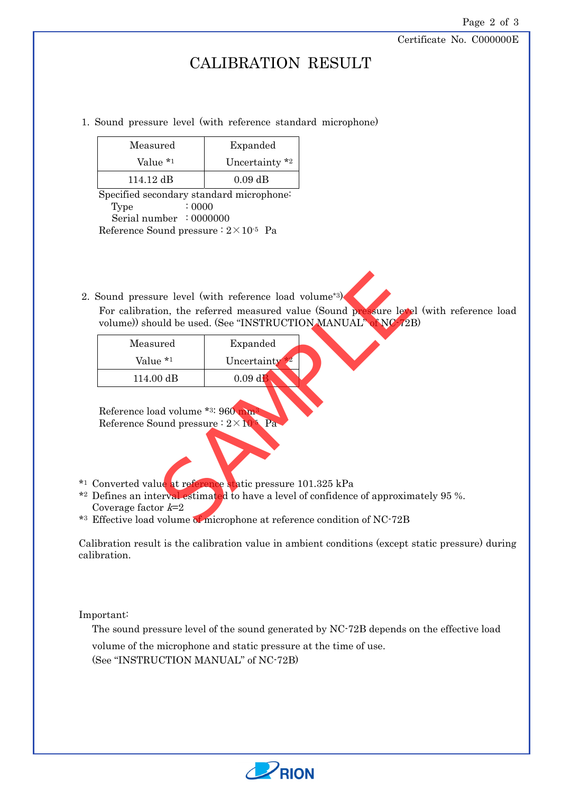Certificate No. C000000E

### CALIBRATION RESULT

#### 1. Sound pressure level (with reference standard microphone)

| Measured  | Expanded                     |  |
|-----------|------------------------------|--|
| Value *1  | Uncertainty $*$ <sup>2</sup> |  |
| 114.12 dB | $0.09$ dB                    |  |

Specified secondary standard microphone: Type : 0000 Serial number : 0000000 Reference Sound pressure  $: 2 \times 10^{-5}$  Pa

2. Sound pressure level (with reference load volume\*3)

For calibration, the referred measured value (Sound pressure level (with reference load volume)) should be used. (See "INSTRUCTION MANUAL" of NC-72B)

|                                                                                   | Sound pressure level (with reference load volume*3).                                                                                                                                                         |  |
|-----------------------------------------------------------------------------------|--------------------------------------------------------------------------------------------------------------------------------------------------------------------------------------------------------------|--|
|                                                                                   | For calibration, the referred measured value (Sound pressure level<br>volume)) should be used. (See "INSTRUCTION MANUAL" of NC/2                                                                             |  |
| Measured                                                                          | Expanded                                                                                                                                                                                                     |  |
| Value *1                                                                          | Uncertainty                                                                                                                                                                                                  |  |
| 114.00 dB                                                                         | $0.09$ dB                                                                                                                                                                                                    |  |
| Reference load volume *3: 960 mm<br>Reference Sound pressure : $2 \times 10^5$ Pa |                                                                                                                                                                                                              |  |
| Coverage factor $k=2$                                                             | Converted value at reference static pressure 101.325 kPa<br>) efines an interval estimated to have a level of confidence of approxin<br>Effective load volume of microphone at reference condition of NC-72B |  |
|                                                                                   |                                                                                                                                                                                                              |  |

- \*1 Converted value at reference static pressure 101.325 kPa
- \*2 Defines an interval estimated to have a level of confidence of approximately 95 %. Coverage factor  $k=2$
- \*3 Effective load volume of microphone at reference condition of NC-72B

Calibration result is the calibration value in ambient conditions (except static pressure) during calibration.

Important:

The sound pressure level of the sound generated by NC-72B depends on the effective load volume of the microphone and static pressure at the time of use.

(See "INSTRUCTION MANUAL" of NC-72B)